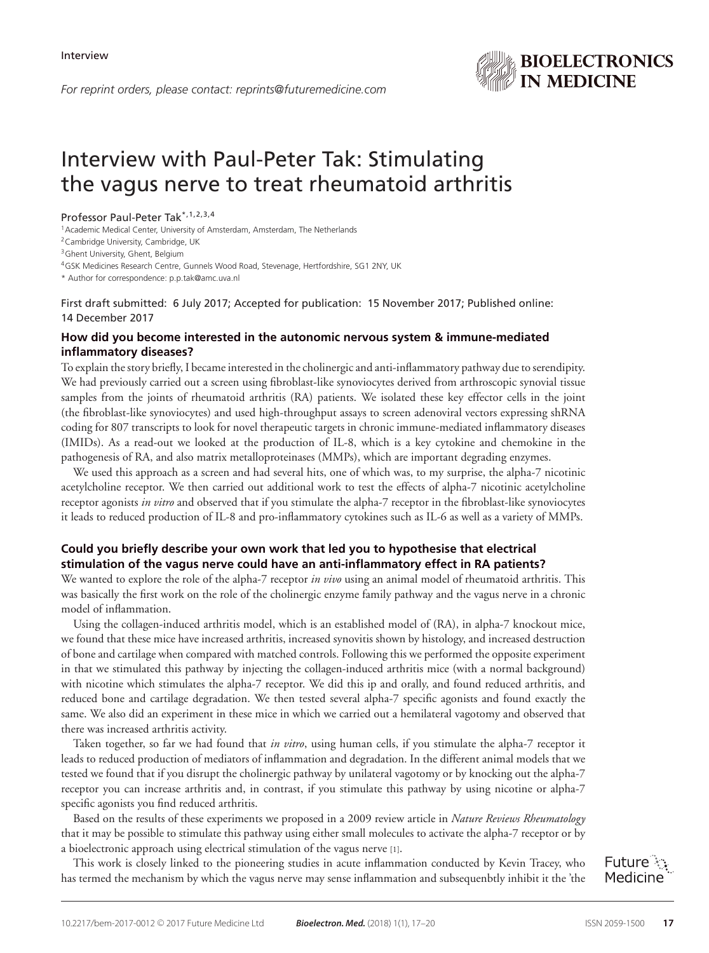

# Interview with Paul-Peter Tak: Stimulating the vagus nerve to treat rheumatoid arthritis

#### Professor Paul-Peter Tak\*,1,2,3,4

<sup>1</sup> Academic Medical Center, University of Amsterdam, Amsterdam, The Netherlands

2Cambridge University, Cambridge, UK

<sup>3</sup> Ghent University, Ghent, Belgium

4GSK Medicines Research Centre, Gunnels Wood Road, Stevenage, Hertfordshire, SG1 2NY, UK

\* Author for correspondence: p.p.tak@amc.uva.nl

First draft submitted: 6 July 2017; Accepted for publication: 15 November 2017; Published online: 14 December 2017

## **How did you become interested in the autonomic nervous system & immune-mediated inflammatory diseases?**

To explain the story briefly, I became interested in the cholinergic and anti-inflammatory pathway due to serendipity. We had previously carried out a screen using fibroblast-like synoviocytes derived from arthroscopic synovial tissue samples from the joints of rheumatoid arthritis (RA) patients. We isolated these key effector cells in the joint (the fibroblast-like synoviocytes) and used high-throughput assays to screen adenoviral vectors expressing shRNA coding for 807 transcripts to look for novel therapeutic targets in chronic immune-mediated inflammatory diseases (IMIDs). As a read-out we looked at the production of IL-8, which is a key cytokine and chemokine in the pathogenesis of RA, and also matrix metalloproteinases (MMPs), which are important degrading enzymes.

We used this approach as a screen and had several hits, one of which was, to my surprise, the alpha-7 nicotinic acetylcholine receptor. We then carried out additional work to test the effects of alpha-7 nicotinic acetylcholine receptor agonists *in vitro* and observed that if you stimulate the alpha-7 receptor in the fibroblast-like synoviocytes it leads to reduced production of IL-8 and pro-inflammatory cytokines such as IL-6 as well as a variety of MMPs.

# **Could you briefly describe your own work that led you to hypothesise that electrical stimulation of the vagus nerve could have an anti-inflammatory effect in RA patients?**

We wanted to explore the role of the alpha-7 receptor *in vivo* using an animal model of rheumatoid arthritis. This was basically the first work on the role of the cholinergic enzyme family pathway and the vagus nerve in a chronic model of inflammation.

Using the collagen-induced arthritis model, which is an established model of (RA), in alpha-7 knockout mice, we found that these mice have increased arthritis, increased synovitis shown by histology, and increased destruction of bone and cartilage when compared with matched controls. Following this we performed the opposite experiment in that we stimulated this pathway by injecting the collagen-induced arthritis mice (with a normal background) with nicotine which stimulates the alpha-7 receptor. We did this ip and orally, and found reduced arthritis, and reduced bone and cartilage degradation. We then tested several alpha-7 specific agonists and found exactly the same. We also did an experiment in these mice in which we carried out a hemilateral vagotomy and observed that there was increased arthritis activity.

Taken together, so far we had found that *in vitro*, using human cells, if you stimulate the alpha-7 receptor it leads to reduced production of mediators of inflammation and degradation. In the different animal models that we tested we found that if you disrupt the cholinergic pathway by unilateral vagotomy or by knocking out the alpha-7 receptor you can increase arthritis and, in contrast, if you stimulate this pathway by using nicotine or alpha-7 specific agonists you find reduced arthritis.

Based on the results of these experiments we proposed in a 2009 review article in *Nature Reviews Rheumatology* that it may be possible to stimulate this pathway using either small molecules to activate the alpha-7 receptor or by a bioelectronic approach using electrical stimulation of the vagus nerve [1].

This work is closely linked to the pioneering studies in acute inflammation conducted by Kevin Tracey, who has termed the mechanism by which the vagus nerve may sense inflammation and subsequenbtly inhibit it the 'the

Future : Medicine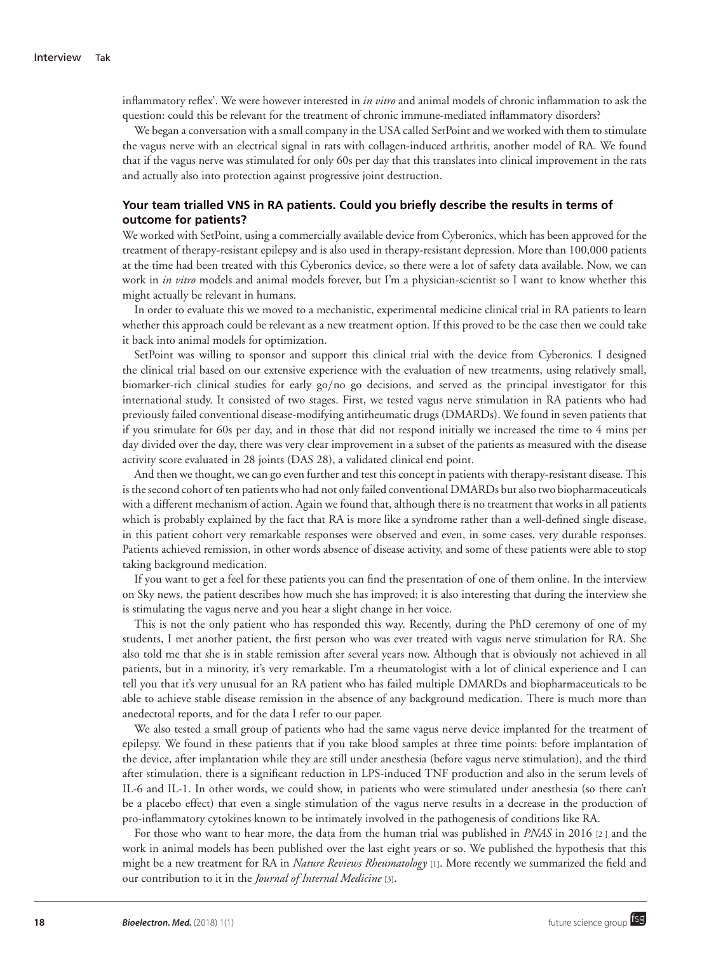inflammatory reflex'. We were however interested in *in vitro* and animal models of chronic inflammation to ask the question: could this be relevant for the treatment of chronic immune-mediated inflammatory disorders?

We began a conversation with a small company in the USA called SetPoint and we worked with them to stimulate the vagus nerve with an electrical signal in rats with collagen-induced arthritis, another model of RA. We found that if the vagus nerve was stimulated for only 60s per day that this translates into clinical improvement in the rats and actually also into protection against progressive joint destruction.

#### **Your team trialled VNS in RA patients. Could you briefly describe the results in terms of outcome for patients?**

We worked with SetPoint, using a commercially available device from Cyberonics, which has been approved for the treatment of therapy-resistant epilepsy and is also used in therapy-resistant depression. More than 100,000 patients at the time had been treated with this Cyberonics device, so there were a lot of safety data available. Now, we can work in *in vitro* models and animal models forever, but I'm a physician-scientist so I want to know whether this might actually be relevant in humans.

In order to evaluate this we moved to a mechanistic, experimental medicine clinical trial in RA patients to learn whether this approach could be relevant as a new treatment option. If this proved to be the case then we could take it back into animal models for optimization.

SetPoint was willing to sponsor and support this clinical trial with the device from Cyberonics. I designed the clinical trial based on our extensive experience with the evaluation of new treatments, using relatively small, biomarker-rich clinical studies for early go/no go decisions, and served as the principal investigator for this international study. It consisted of two stages. First, we tested vagus nerve stimulation in RA patients who had previously failed conventional disease-modifying antirheumatic drugs (DMARDs). We found in seven patients that if you stimulate for 60s per day, and in those that did not respond initially we increased the time to 4 mins per day divided over the day, there was very clear improvement in a subset of the patients as measured with the disease activity score evaluated in 28 joints (DAS 28), a validated clinical end point.

And then we thought, we can go even further and test this concept in patients with therapy-resistant disease. This is the second cohort of ten patients who had not only failed conventional DMARDs but also two biopharmaceuticals with a different mechanism of action. Again we found that, although there is no treatment that works in all patients which is probably explained by the fact that RA is more like a syndrome rather than a well-defined single disease, in this patient cohort very remarkable responses were observed and even, in some cases, very durable responses. Patients achieved remission, in other words absence of disease activity, and some of these patients were able to stop taking background medication.

If you want to get a feel for these patients you can find the presentation of one of them online. In the interview on Sky news, the patient describes how much she has improved; it is also interesting that during the interview she is stimulating the vagus nerve and you hear a slight change in her voice.

This is not the only patient who has responded this way. Recently, during the PhD ceremony of one of my students, I met another patient, the first person who was ever treated with vagus nerve stimulation for RA. She also told me that she is in stable remission after several years now. Although that is obviously not achieved in all patients, but in a minority, it's very remarkable. I'm a rheumatologist with a lot of clinical experience and I can tell you that it's very unusual for an RA patient who has failed multiple DMARDs and biopharmaceuticals to be able to achieve stable disease remission in the absence of any background medication. There is much more than anedectotal reports, and for the data I refer to our paper.

We also tested a small group of patients who had the same vagus nerve device implanted for the treatment of epilepsy. We found in these patients that if you take blood samples at three time points: before implantation of the device, after implantation while they are still under anesthesia (before vagus nerve stimulation), and the third after stimulation, there is a significant reduction in LPS-induced TNF production and also in the serum levels of IL-6 and IL-1. In other words, we could show, in patients who were stimulated under anesthesia (so there can't be a placebo effect) that even a single stimulation of the vagus nerve results in a decrease in the production of pro-inflammatory cytokines known to be intimately involved in the pathogenesis of conditions like RA.

For those who want to hear more, the data from the human trial was published in *PNAS* in 2016 [2 ] and the work in animal models has been published over the last eight years or so. We published the hypothesis that this might be a new treatment for RA in *Nature Reviews Rheumatology* [1]. More recently we summarized the field and our contribution to it in the *Journal of Internal Medicine* [3].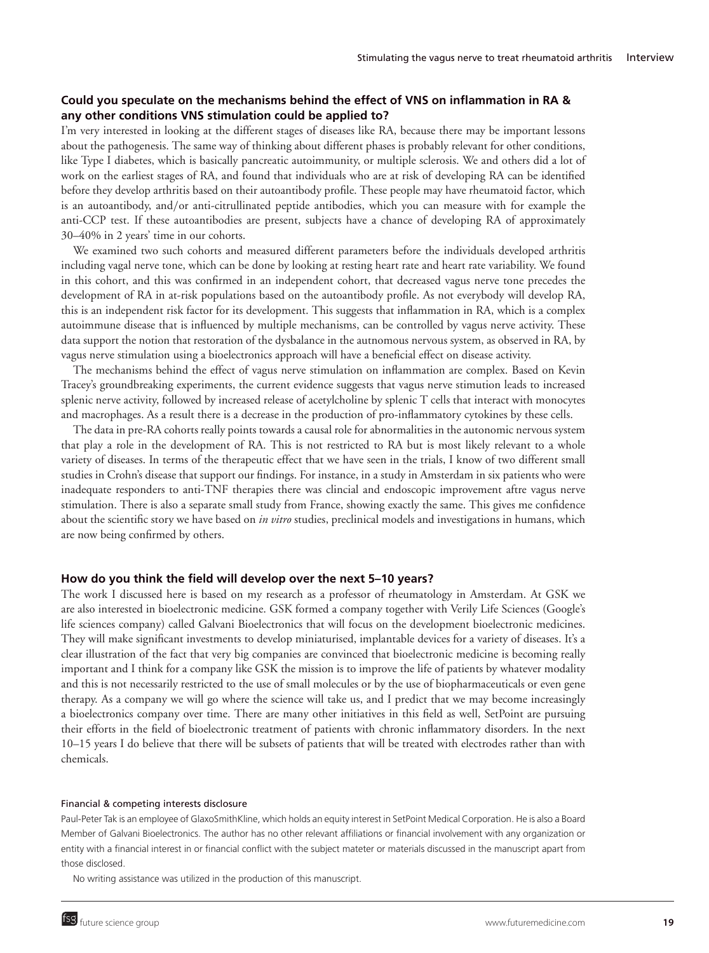### **Could you speculate on the mechanisms behind the effect of VNS on inflammation in RA & any other conditions VNS stimulation could be applied to?**

I'm very interested in looking at the different stages of diseases like RA, because there may be important lessons about the pathogenesis. The same way of thinking about different phases is probably relevant for other conditions, like Type I diabetes, which is basically pancreatic autoimmunity, or multiple sclerosis. We and others did a lot of work on the earliest stages of RA, and found that individuals who are at risk of developing RA can be identified before they develop arthritis based on their autoantibody profile. These people may have rheumatoid factor, which is an autoantibody, and/or anti-citrullinated peptide antibodies, which you can measure with for example the anti-CCP test. If these autoantibodies are present, subjects have a chance of developing RA of approximately 30–40% in 2 years' time in our cohorts.

We examined two such cohorts and measured different parameters before the individuals developed arthritis including vagal nerve tone, which can be done by looking at resting heart rate and heart rate variability. We found in this cohort, and this was confirmed in an independent cohort, that decreased vagus nerve tone precedes the development of RA in at-risk populations based on the autoantibody profile. As not everybody will develop RA, this is an independent risk factor for its development. This suggests that inflammation in RA, which is a complex autoimmune disease that is influenced by multiple mechanisms, can be controlled by vagus nerve activity. These data support the notion that restoration of the dysbalance in the autnomous nervous system, as observed in RA, by vagus nerve stimulation using a bioelectronics approach will have a beneficial effect on disease activity.

The mechanisms behind the effect of vagus nerve stimulation on inflammation are complex. Based on Kevin Tracey's groundbreaking experiments, the current evidence suggests that vagus nerve stimution leads to increased splenic nerve activity, followed by increased release of acetylcholine by splenic T cells that interact with monocytes and macrophages. As a result there is a decrease in the production of pro-inflammatory cytokines by these cells.

The data in pre-RA cohorts really points towards a causal role for abnormalities in the autonomic nervous system that play a role in the development of RA. This is not restricted to RA but is most likely relevant to a whole variety of diseases. In terms of the therapeutic effect that we have seen in the trials, I know of two different small studies in Crohn's disease that support our findings. For instance, in a study in Amsterdam in six patients who were inadequate responders to anti-TNF therapies there was clincial and endoscopic improvement aftre vagus nerve stimulation. There is also a separate small study from France, showing exactly the same. This gives me confidence about the scientific story we have based on *in vitro* studies, preclinical models and investigations in humans, which are now being confirmed by others.

#### **How do you think the field will develop over the next 5–10 years?**

The work I discussed here is based on my research as a professor of rheumatology in Amsterdam. At GSK we are also interested in bioelectronic medicine. GSK formed a company together with Verily Life Sciences (Google's life sciences company) called Galvani Bioelectronics that will focus on the development bioelectronic medicines. They will make significant investments to develop miniaturised, implantable devices for a variety of diseases. It's a clear illustration of the fact that very big companies are convinced that bioelectronic medicine is becoming really important and I think for a company like GSK the mission is to improve the life of patients by whatever modality and this is not necessarily restricted to the use of small molecules or by the use of biopharmaceuticals or even gene therapy. As a company we will go where the science will take us, and I predict that we may become increasingly a bioelectronics company over time. There are many other initiatives in this field as well, SetPoint are pursuing their efforts in the field of bioelectronic treatment of patients with chronic inflammatory disorders. In the next 10–15 years I do believe that there will be subsets of patients that will be treated with electrodes rather than with chemicals.

#### Financial & competing interests disclosure

Paul-Peter Tak is an employee of GlaxoSmithKline, which holds an equity interest in SetPoint Medical Corporation. He is also a Board Member of Galvani Bioelectronics. The author has no other relevant affiliations or financial involvement with any organization or entity with a financial interest in or financial conflict with the subject mateter or materials discussed in the manuscript apart from those disclosed.

No writing assistance was utilized in the production of this manuscript.